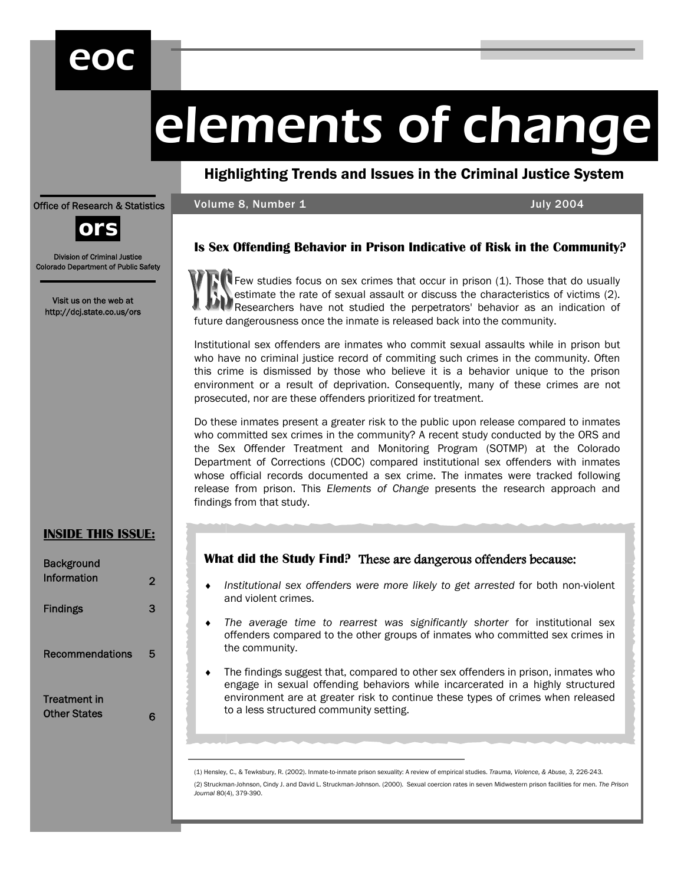## eoc

# elements of change

Highlighting Trends and Issues in the Criminal Justice System

Volume 8, Number 1 July 2004

#### Office of Research & Statistics



Division of Criminal Justice Colorado Department of Public Safety

Visit us on the web at http://dcj.state.co.us/ors

#### **INSIDE THIS ISSUE:**

| <b>Background</b>                          |   |
|--------------------------------------------|---|
| Information                                | 2 |
| <b>Findings</b>                            | 3 |
| <b>Recommendations</b>                     | 5 |
| <b>Treatment in</b><br><b>Other States</b> | 6 |

#### **Is Sex Offending Behavior in Prison Indicative of Risk in the Community?**

Few studies focus on sex crimes that occur in prison (1). Those that do usually estimate the rate of sexual assault or discuss the characteristics of victims (2). Researchers have not studied the perpetrators' behavior as an indication of future dangerousness once the inmate is released back into the community.

Institutional sex offenders are inmates who commit sexual assaults while in prison but who have no criminal justice record of commiting such crimes in the community. Often this crime is dismissed by those who believe it is a behavior unique to the prison environment or a result of deprivation. Consequently, many of these crimes are not prosecuted, nor are these offenders prioritized for treatment.

Do these inmates present a greater risk to the public upon release compared to inmates who committed sex crimes in the community? A recent study conducted by the ORS and the Sex Offender Treatment and Monitoring Program (SOTMP) at the Colorado Department of Corrections (CDOC) compared institutional sex offenders with inmates whose official records documented a sex crime. The inmates were tracked following release from prison. This *Elements of Change* presents the research approach and findings from that study.

#### What did the Study Find? These are dangerous offenders because:

- ♦ *Institutional sex offenders were more likely to get arrested* for both non-violent and violent crimes.
- The average time to rearrest was significantly shorter for institutional sex offenders compared to the other groups of inmates who committed sex crimes in the community.
- The findings suggest that, compared to other sex offenders in prison, inmates who engage in sexual offending behaviors while incarcerated in a highly structured environment are at greater risk to continue these types of crimes when released to a less structured community setting.

(1) Hensley, C., & Tewksbury, R. (2002). Inmate-to-inmate prison sexuality: A review of empirical studies. *Trauma, Violence, & Abuse, 3,* 226-243.

(2) Struckman-Johnson, Cindy J. and David L. Struckman-Johnson. (2000). Sexual coercion rates in seven Midwestern prison facilities for men. *The Prison Journal* 80(4), 379-390.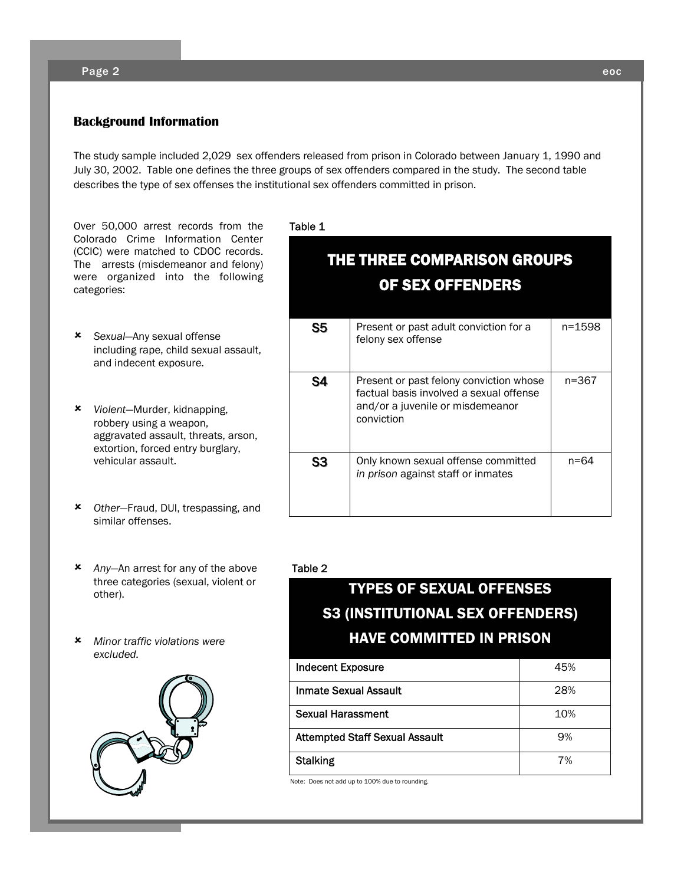#### Page 2 eoc

#### **Background Information**

The study sample included 2,029 sex offenders released from prison in Colorado between January 1, 1990 and July 30, 2002. Table one defines the three groups of sex offenders compared in the study. The second table describes the type of sex offenses the institutional sex offenders committed in prison.

Over 50,000 arrest records from the Colorado Crime Information Center (CCIC) were matched to CDOC records. The arrests (misdemeanor and felony) were organized into the following categories:

- 8 *Sexual*—Any sexual offense including rape, child sexual assault, and indecent exposure.
- 8 *Violent*—Murder, kidnapping, robbery using a weapon, aggravated assault, threats, arson, extortion, forced entry burglary, vehicular assault.
- 8 *Other*—Fraud, DUI, trespassing, and similar offenses.
- 8 *Any*—An arrest for any of the above three categories (sexual, violent or other).
- 8 *Minor traffic violations were excluded.*



Table 1

| <b>THE THREE COMPARISON GROUPS</b><br>OF SEX OFFENDERS |                                                                                                                                      |        |  |
|--------------------------------------------------------|--------------------------------------------------------------------------------------------------------------------------------------|--------|--|
| S5                                                     | Present or past adult conviction for a<br>felony sex offense                                                                         | n=1598 |  |
| S4                                                     | Present or past felony conviction whose<br>factual basis involved a sexual offense<br>and/or a juvenile or misdemeanor<br>conviction | n=367  |  |
| S3                                                     | Only known sexual offense committed<br>in prison against staff or inmates                                                            | n=64   |  |

#### Table 2

### TYPES OF SEXUAL OFFENSES S3 (INSTITUTIONAL SEX OFFENDERS) HAVE COMMITTED IN PRISON

| <b>Indecent Exposure</b>              | 45% |
|---------------------------------------|-----|
| Inmate Sexual Assault                 | 28% |
| Sexual Harassment                     | 10% |
| <b>Attempted Staff Sexual Assault</b> | 9%  |
| <b>Stalking</b>                       | 7%  |

Note: Does not add up to 100% due to rounding.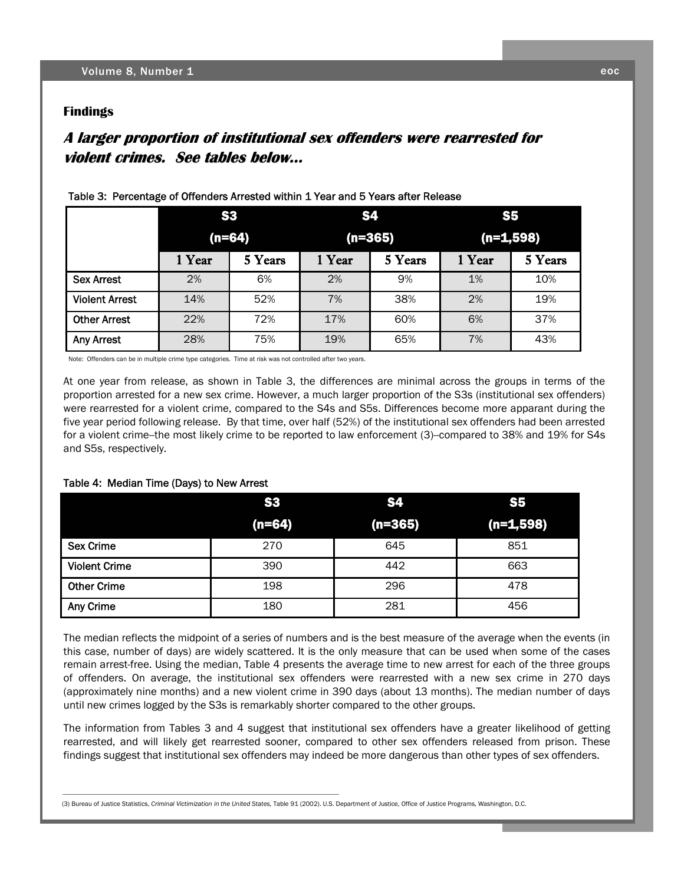#### **Findings**

#### **A larger proportion of institutiona A larger proportion institutionalarger proportion of institutional sex offender l sex offenders were rearrested for l rearrested for violent crimes. See tables below… violent crimes. See tables below… crimes. See tables**

|                       |          | S <sub>3</sub> |           | <b>S4</b> | <b>S5</b>   |         |
|-----------------------|----------|----------------|-----------|-----------|-------------|---------|
|                       | $(n=64)$ |                | $(n=365)$ |           | $(n=1,598)$ |         |
|                       | 1 Year   | 5 Years        | 1 Year    | 5 Years   | 1 Year      | 5 Years |
| <b>Sex Arrest</b>     | 2%       | 6%             | 2%        | 9%        | 1%          | 10%     |
| <b>Violent Arrest</b> | 14%      | 52%            | 7%        | 38%       | 2%          | 19%     |
| <b>Other Arrest</b>   | 22%      | 72%            | 17%       | 60%       | 6%          | 37%     |
| <b>Any Arrest</b>     | 28%      | 75%            | 19%       | 65%       | 7%          | 43%     |

#### Table 3: Percentage of Offenders Arrested within 1 Year and 5 Years after Release

Note: Offenders can be in multiple crime type categories. Time at risk was not controlled after two years.

At one year from release, as shown in Table 3, the differences are minimal across the groups in terms of the proportion arrested for a new sex crime. However, a much larger proportion of the S3s (institutional sex offenders) were rearrested for a violent crime, compared to the S4s and S5s. Differences become more apparant during the five year period following release. By that time, over half (52%) of the institutional sex offenders had been arrested for a violent crime--the most likely crime to be reported to law enforcement (3)--compared to 38% and 19% for S4s and S5s, respectively.

#### Table 4: Median Time (Days) to New Arrest

|                      | <b>S3</b> | <b>S4</b> | <b>S5</b>   |  |
|----------------------|-----------|-----------|-------------|--|
|                      | $(n=64)$  | $(n=365)$ | $(n=1,598)$ |  |
| <b>Sex Crime</b>     | 270       | 645       | 851         |  |
| <b>Violent Crime</b> | 390       | 442       | 663         |  |
| <b>Other Crime</b>   | 198       | 296       | 478         |  |
| Any Crime            | 180       | 281       | 456         |  |

The median reflects the midpoint of a series of numbers and is the best measure of the average when the events (in this case, number of days) are widely scattered. It is the only measure that can be used when some of the cases remain arrest-free. Using the median, Table 4 presents the average time to new arrest for each of the three groups of offenders. On average, the institutional sex offenders were rearrested with a new sex crime in 270 days (approximately nine months) and a new violent crime in 390 days (about 13 months). The median number of days until new crimes logged by the S3s is remarkably shorter compared to the other groups.

The information from Tables 3 and 4 suggest that institutional sex offenders have a greater likelihood of getting rearrested, and will likely get rearrested sooner, compared to other sex offenders released from prison. These findings suggest that institutional sex offenders may indeed be more dangerous than other types of sex offenders.

 <sup>(3)</sup> Bureau of Justice Statistics, *Criminal Victimization in the United States,* Table 91 (2002). U.S. Department of Justice, Office of Justice Programs, Washington, D.C.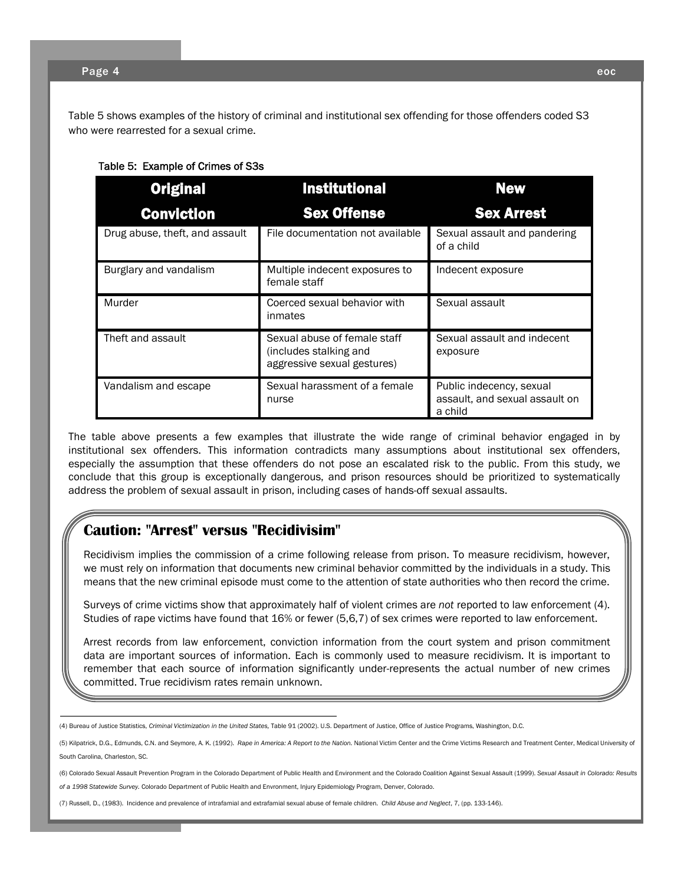Table 5 shows examples of the history of criminal and institutional sex offending for those offenders coded S3 who were rearrested for a sexual crime.

#### Table 5: Example of Crimes of S3s

| <b>Original</b>                | <b>Institutional</b>                                                                  | <b>New</b>                                                            |
|--------------------------------|---------------------------------------------------------------------------------------|-----------------------------------------------------------------------|
| Conviction                     | <b>Sex Offense</b>                                                                    | <b>Sex Arrest</b>                                                     |
| Drug abuse, theft, and assault | File documentation not available                                                      | Sexual assault and pandering<br>of a child                            |
| Burglary and vandalism         | Multiple indecent exposures to<br>female staff                                        | Indecent exposure                                                     |
| Murder                         | Coerced sexual behavior with<br>inmates                                               | Sexual assault                                                        |
| Theft and assault              | Sexual abuse of female staff<br>(includes stalking and<br>aggressive sexual gestures) | Sexual assault and indecent<br>exposure                               |
| Vandalism and escape           | Sexual harassment of a female<br>nurse                                                | Public indecency, sexual<br>assault, and sexual assault on<br>a child |

The table above presents a few examples that illustrate the wide range of criminal behavior engaged in by institutional sex offenders. This information contradicts many assumptions about institutional sex offenders, especially the assumption that these offenders do not pose an escalated risk to the public. From this study, we conclude that this group is exceptionally dangerous, and prison resources should be prioritized to systematically address the problem of sexual assault in prison, including cases of hands-off sexual assaults.

#### **Caution: "Arrest" versus "Recidivisim"**

Recidivism implies the commission of a crime following release from prison. To measure recidivism, however, we must rely on information that documents new criminal behavior committed by the individuals in a study. This means that the new criminal episode must come to the attention of state authorities who then record the crime.

Surveys of crime victims show that approximately half of violent crimes are *not* reported to law enforcement (4). Studies of rape victims have found that 16% or fewer (5,6,7) of sex crimes were reported to law enforcement.

Arrest records from law enforcement, conviction information from the court system and prison commitment data are important sources of information. Each is commonly used to measure recidivism. It is important to remember that each source of information significantly under-represents the actual number of new crimes committed. True recidivism rates remain unknown.

(5) Kilpatrick, D.G., Edmunds, C.N. and Seymore, A. K. (1992). *Rape in America: A Report to the Nation.* National Victim Center and the Crime Victims Research and Treatment Center, Medical University of South Carolina, Charleston, SC.

(6) Colorado Sexual Assault Prevention Program in the Colorado Department of Public Health and Environment and the Colorado Coalition Against Sexual Assault (1999). *Sexual Assault in Colorado: Results of a 1998 Statewide Survey.* Colorado Department of Public Health and Envronment, Injury Epidemiology Program, Denver, Colorado.

(7) Russell, D., (1983). Incidence and prevalence of intrafamial and extrafamial sexual abuse of female children. *Child Abuse and Neglect*, 7, (pp. 133-146).

<sup>(4)</sup> Bureau of Justice Statistics, *Criminal Victimization in the United States,* Table 91 (2002). U.S. Department of Justice, Office of Justice Programs, Washington, D.C.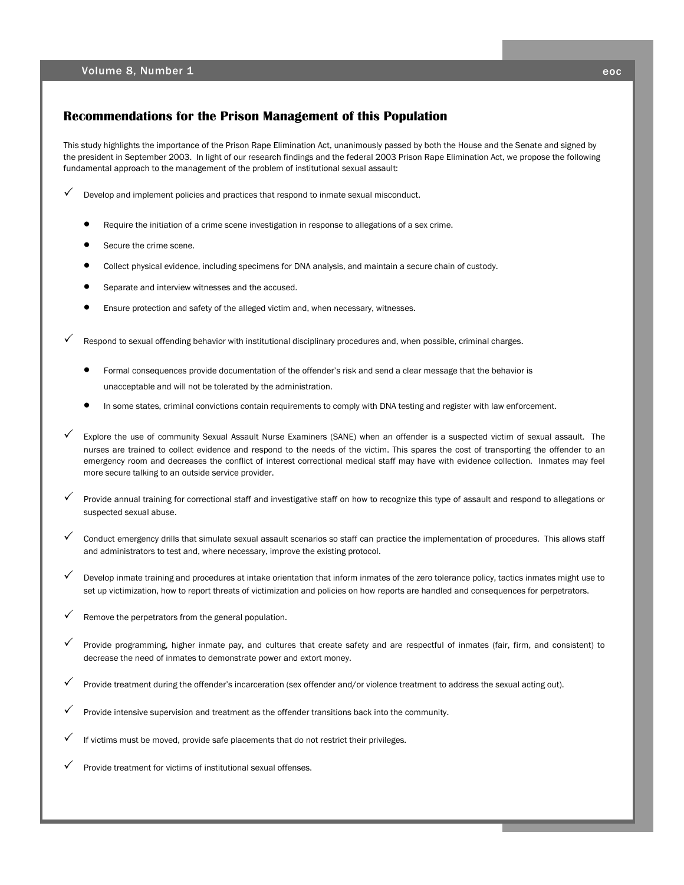#### **Recommendations for the Prison Management of this Population**

This study highlights the importance of the Prison Rape Elimination Act, unanimously passed by both the House and the Senate and signed by the president in September 2003. In light of our research findings and the federal 2003 Prison Rape Elimination Act, we propose the following fundamental approach to the management of the problem of institutional sexual assault:

Develop and implement policies and practices that respond to inmate sexual misconduct.

- Require the initiation of a crime scene investigation in response to allegations of a sex crime.
- Secure the crime scene.
- Collect physical evidence, including specimens for DNA analysis, and maintain a secure chain of custody.
- Separate and interview witnesses and the accused.
- Ensure protection and safety of the alleged victim and, when necessary, witnesses.

Respond to sexual offending behavior with institutional disciplinary procedures and, when possible, criminal charges.

- Formal consequences provide documentation of the offender's risk and send a clear message that the behavior is unacceptable and will not be tolerated by the administration.
- In some states, criminal convictions contain requirements to comply with DNA testing and register with law enforcement.
- Explore the use of community Sexual Assault Nurse Examiners (SANE) when an offender is a suspected victim of sexual assault. The nurses are trained to collect evidence and respond to the needs of the victim. This spares the cost of transporting the offender to an emergency room and decreases the conflict of interest correctional medical staff may have with evidence collection. Inmates may feel more secure talking to an outside service provider.
- Provide annual training for correctional staff and investigative staff on how to recognize this type of assault and respond to allegations or suspected sexual abuse.
- 3 Conduct emergency drills that simulate sexual assault scenarios so staff can practice the implementation of procedures. This allows staff and administrators to test and, where necessary, improve the existing protocol.
- Develop inmate training and procedures at intake orientation that inform inmates of the zero tolerance policy, tactics inmates might use to set up victimization, how to report threats of victimization and policies on how reports are handled and consequences for perpetrators.
- Remove the perpetrators from the general population.
- 3 Provide programming, higher inmate pay, and cultures that create safety and are respectful of inmates (fair, firm, and consistent) to decrease the need of inmates to demonstrate power and extort money.
- Provide treatment during the offender's incarceration (sex offender and/or violence treatment to address the sexual acting out).
- Provide intensive supervision and treatment as the offender transitions back into the community.
- If victims must be moved, provide safe placements that do not restrict their privileges.
- Provide treatment for victims of institutional sexual offenses.